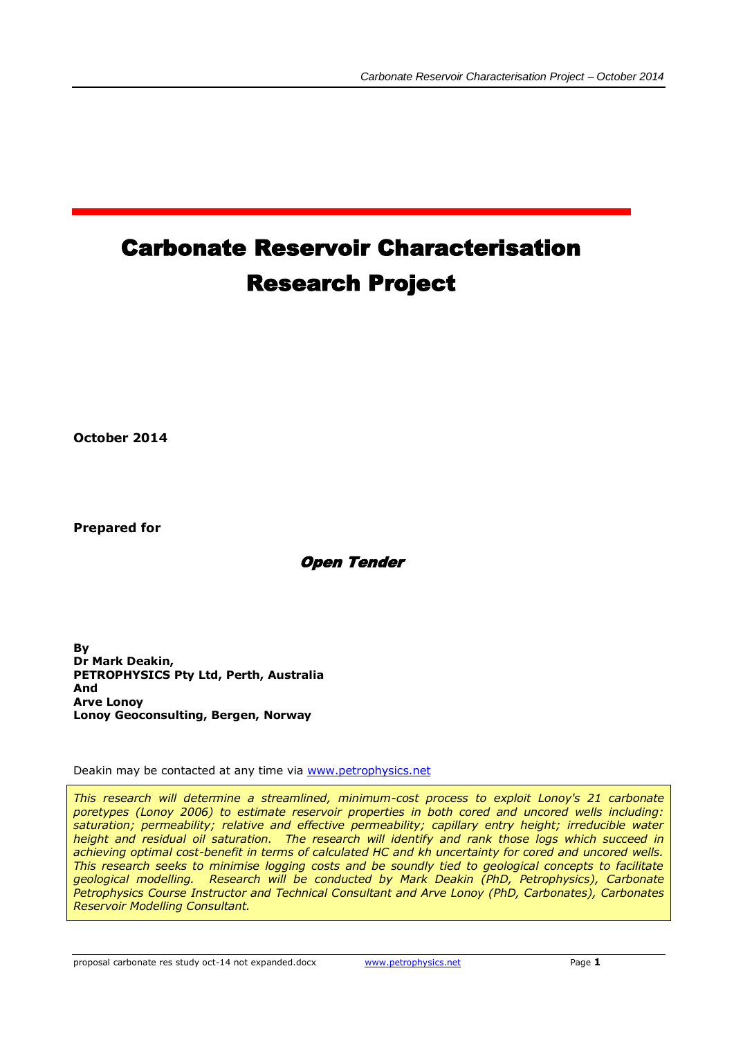# Carbonate Reservoir Characterisation Research Project

**October 2014**

**Prepared for**

Open Tender

**By Dr Mark Deakin, PETROPHYSICS Pty Ltd, Perth, Australia And Arve Lonoy Lonoy Geoconsulting, Bergen, Norway**

Deakin may be contacted at any time via [www.petrophysics.net](http://www.petrophysics.net/)

*This research will determine a streamlined, minimum-cost process to exploit Lonoy's 21 carbonate poretypes (Lonoy 2006) to estimate reservoir properties in both cored and uncored wells including: saturation; permeability; relative and effective permeability; capillary entry height; irreducible water height and residual oil saturation. The research will identify and rank those logs which succeed in achieving optimal cost-benefit in terms of calculated HC and kh uncertainty for cored and uncored wells. This research seeks to minimise logging costs and be soundly tied to geological concepts to facilitate geological modelling. Research will be conducted by Mark Deakin (PhD, Petrophysics), Carbonate Petrophysics Course Instructor and Technical Consultant and Arve Lonoy (PhD, Carbonates), Carbonates Reservoir Modelling Consultant.*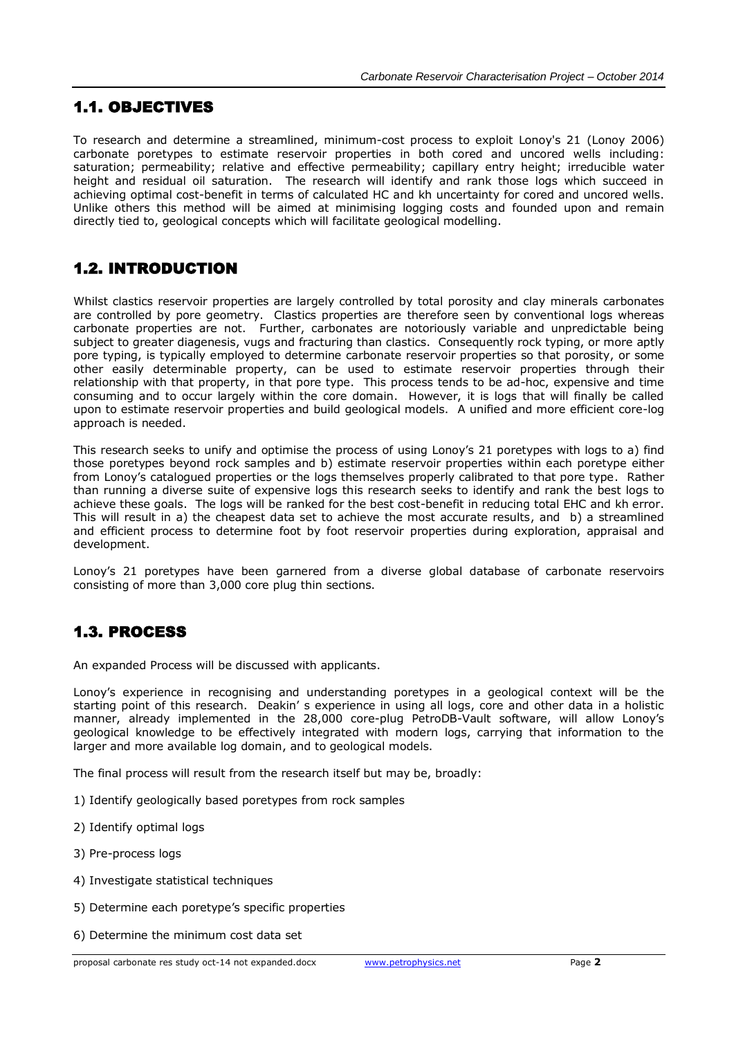# 1.1. OBJECTIVES

To research and determine a streamlined, minimum-cost process to exploit Lonoy's 21 (Lonoy 2006) carbonate poretypes to estimate reservoir properties in both cored and uncored wells including: saturation; permeability; relative and effective permeability; capillary entry height; irreducible water height and residual oil saturation. The research will identify and rank those logs which succeed in achieving optimal cost-benefit in terms of calculated HC and kh uncertainty for cored and uncored wells. Unlike others this method will be aimed at minimising logging costs and founded upon and remain directly tied to, geological concepts which will facilitate geological modelling.

# 1.2. INTRODUCTION

Whilst clastics reservoir properties are largely controlled by total porosity and clay minerals carbonates are controlled by pore geometry. Clastics properties are therefore seen by conventional logs whereas carbonate properties are not. Further, carbonates are notoriously variable and unpredictable being subject to greater diagenesis, vugs and fracturing than clastics. Consequently rock typing, or more aptly pore typing, is typically employed to determine carbonate reservoir properties so that porosity, or some other easily determinable property, can be used to estimate reservoir properties through their relationship with that property, in that pore type. This process tends to be ad-hoc, expensive and time consuming and to occur largely within the core domain. However, it is logs that will finally be called upon to estimate reservoir properties and build geological models. A unified and more efficient core-log approach is needed.

This research seeks to unify and optimise the process of using Lonoy's 21 poretypes with logs to a) find those poretypes beyond rock samples and b) estimate reservoir properties within each poretype either from Lonoy's catalogued properties or the logs themselves properly calibrated to that pore type. Rather than running a diverse suite of expensive logs this research seeks to identify and rank the best logs to achieve these goals. The logs will be ranked for the best cost-benefit in reducing total EHC and kh error. This will result in a) the cheapest data set to achieve the most accurate results, and b) a streamlined and efficient process to determine foot by foot reservoir properties during exploration, appraisal and development.

Lonoy's 21 poretypes have been garnered from a diverse global database of carbonate reservoirs consisting of more than 3,000 core plug thin sections.

# 1.3. PROCESS

An expanded Process will be discussed with applicants.

Lonoy's experience in recognising and understanding poretypes in a geological context will be the starting point of this research. Deakin' s experience in using all logs, core and other data in a holistic manner, already implemented in the 28,000 core-plug PetroDB-Vault software, will allow Lonoy's geological knowledge to be effectively integrated with modern logs, carrying that information to the larger and more available log domain, and to geological models.

The final process will result from the research itself but may be, broadly:

- 1) Identify geologically based poretypes from rock samples
- 2) Identify optimal logs
- 3) Pre-process logs
- 4) Investigate statistical techniques
- 5) Determine each poretype's specific properties
- 6) Determine the minimum cost data set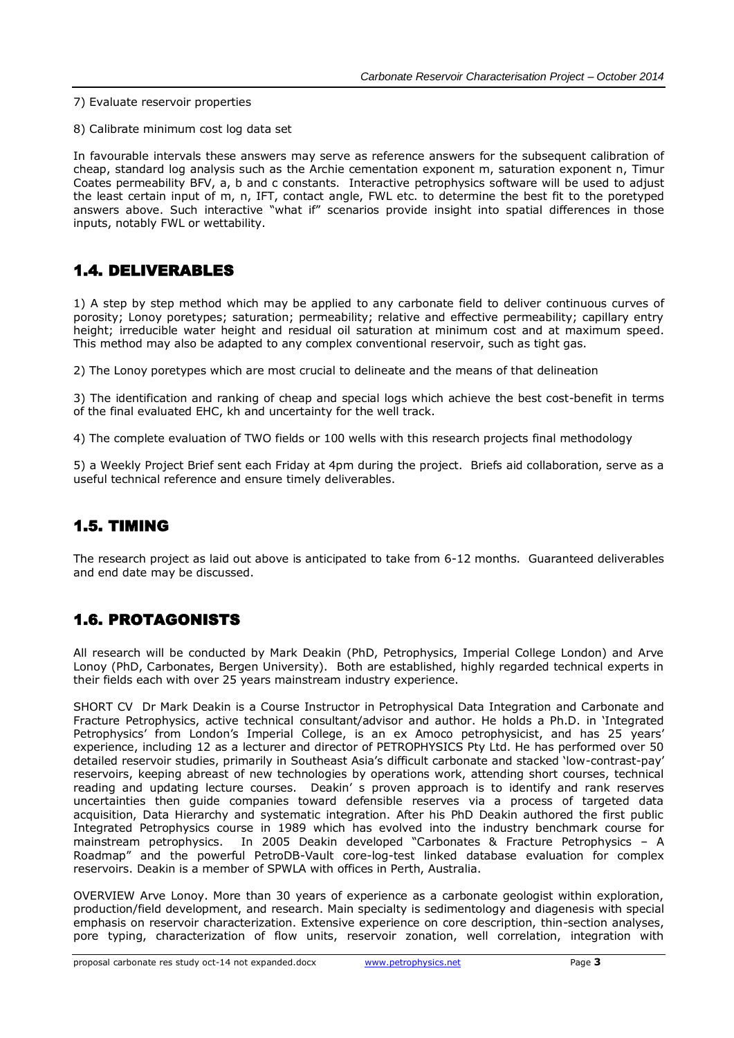- 7) Evaluate reservoir properties
- 8) Calibrate minimum cost log data set

In favourable intervals these answers may serve as reference answers for the subsequent calibration of cheap, standard log analysis such as the Archie cementation exponent m, saturation exponent n, Timur Coates permeability BFV, a, b and c constants. Interactive petrophysics software will be used to adjust the least certain input of m, n, IFT, contact angle, FWL etc. to determine the best fit to the poretyped answers above. Such interactive "what if" scenarios provide insight into spatial differences in those inputs, notably FWL or wettability.

## 1.4. DELIVERABLES

1) A step by step method which may be applied to any carbonate field to deliver continuous curves of porosity; Lonoy poretypes; saturation; permeability; relative and effective permeability; capillary entry height; irreducible water height and residual oil saturation at minimum cost and at maximum speed. This method may also be adapted to any complex conventional reservoir, such as tight gas.

2) The Lonoy poretypes which are most crucial to delineate and the means of that delineation

3) The identification and ranking of cheap and special logs which achieve the best cost-benefit in terms of the final evaluated EHC, kh and uncertainty for the well track.

4) The complete evaluation of TWO fields or 100 wells with this research projects final methodology

5) a Weekly Project Brief sent each Friday at 4pm during the project. Briefs aid collaboration, serve as a useful technical reference and ensure timely deliverables.

## 1.5. TIMING

The research project as laid out above is anticipated to take from 6-12 months. Guaranteed deliverables and end date may be discussed.

# 1.6. PROTAGONISTS

All research will be conducted by Mark Deakin (PhD, Petrophysics, Imperial College London) and Arve Lonoy (PhD, Carbonates, Bergen University). Both are established, highly regarded technical experts in their fields each with over 25 years mainstream industry experience.

SHORT CV Dr Mark Deakin is a Course Instructor in Petrophysical Data Integration and Carbonate and Fracture Petrophysics, active technical consultant/advisor and author. He holds a Ph.D. in 'Integrated Petrophysics' from London's Imperial College, is an ex Amoco petrophysicist, and has 25 years' experience, including 12 as a lecturer and director of PETROPHYSICS Pty Ltd. He has performed over 50 detailed reservoir studies, primarily in Southeast Asia's difficult carbonate and stacked 'low-contrast-pay' reservoirs, keeping abreast of new technologies by operations work, attending short courses, technical reading and updating lecture courses. Deakin' s proven approach is to identify and rank reserves uncertainties then guide companies toward defensible reserves via a process of targeted data acquisition, Data Hierarchy and systematic integration. After his PhD Deakin authored the first public Integrated Petrophysics course in 1989 which has evolved into the industry benchmark course for mainstream petrophysics. In 2005 Deakin developed "Carbonates & Fracture Petrophysics – A Roadmap" and the powerful PetroDB-Vault core-log-test linked database evaluation for complex reservoirs. Deakin is a member of SPWLA with offices in Perth, Australia.

OVERVIEW Arve Lonoy. More than 30 years of experience as a carbonate geologist within exploration, production/field development, and research. Main specialty is sedimentology and diagenesis with special emphasis on reservoir characterization. Extensive experience on core description, thin-section analyses, pore typing, characterization of flow units, reservoir zonation, well correlation, integration with